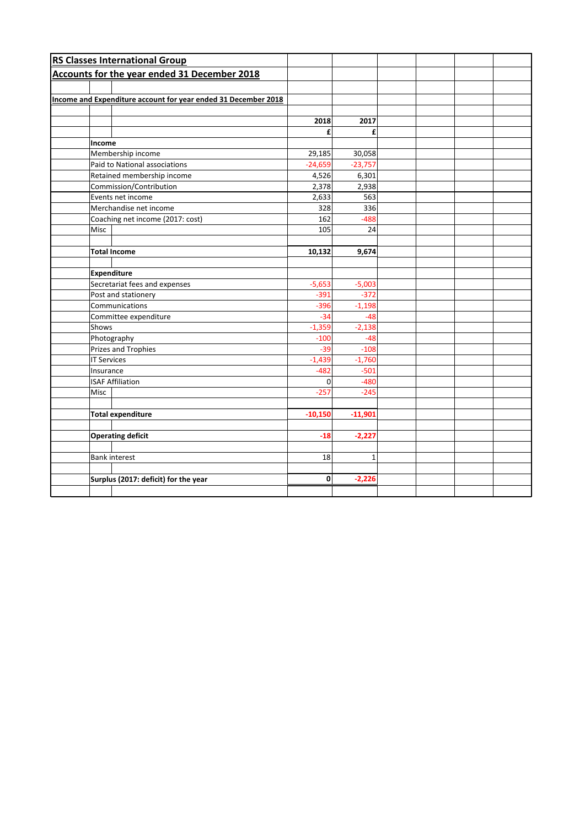|                   | <b>RS Classes International Group</b>                          |           |              |  |  |
|-------------------|----------------------------------------------------------------|-----------|--------------|--|--|
|                   | Accounts for the year ended 31 December 2018                   |           |              |  |  |
|                   |                                                                |           |              |  |  |
|                   | Income and Expenditure account for year ended 31 December 2018 |           |              |  |  |
|                   |                                                                |           |              |  |  |
|                   |                                                                | 2018      | 2017         |  |  |
|                   |                                                                | £         | £            |  |  |
|                   | Income                                                         |           |              |  |  |
| Membership income |                                                                | 29,185    | 30,058       |  |  |
|                   | Paid to National associations                                  |           | $-23,757$    |  |  |
|                   | Retained membership income                                     | 4,526     | 6,301        |  |  |
|                   | Commission/Contribution                                        |           | 2,938        |  |  |
|                   | Events net income                                              |           | 563          |  |  |
|                   | Merchandise net income                                         | 328       | 336          |  |  |
|                   | Coaching net income (2017: cost)                               | 162       | $-488$       |  |  |
|                   | <b>Misc</b>                                                    | 105       | 24           |  |  |
|                   |                                                                |           |              |  |  |
|                   | <b>Total Income</b>                                            | 10,132    | 9,674        |  |  |
|                   |                                                                |           |              |  |  |
|                   | <b>Expenditure</b>                                             |           |              |  |  |
|                   | Secretariat fees and expenses                                  |           | $-5,003$     |  |  |
|                   | Post and stationery                                            |           | $-372$       |  |  |
|                   | Communications                                                 |           | $-1,198$     |  |  |
|                   | Committee expenditure                                          |           | $-48$        |  |  |
|                   | Shows                                                          |           | $-2,138$     |  |  |
|                   | Photography                                                    |           | $-48$        |  |  |
|                   | <b>Prizes and Trophies</b>                                     |           | $-108$       |  |  |
|                   | <b>IT Services</b>                                             |           | $-1,760$     |  |  |
|                   | Insurance                                                      |           | $-501$       |  |  |
|                   | <b>ISAF Affiliation</b>                                        |           | $-480$       |  |  |
|                   | <b>Misc</b>                                                    | $-257$    | $-245$       |  |  |
|                   |                                                                |           |              |  |  |
|                   | <b>Total expenditure</b>                                       | $-10,150$ | $-11,901$    |  |  |
|                   |                                                                |           |              |  |  |
|                   | <b>Operating deficit</b>                                       | $-18$     | $-2,227$     |  |  |
|                   |                                                                |           |              |  |  |
|                   | <b>Bank interest</b>                                           | 18        | $\mathbf{1}$ |  |  |
|                   |                                                                |           |              |  |  |
|                   | Surplus (2017: deficit) for the year                           | 0         | $-2,226$     |  |  |
|                   |                                                                |           |              |  |  |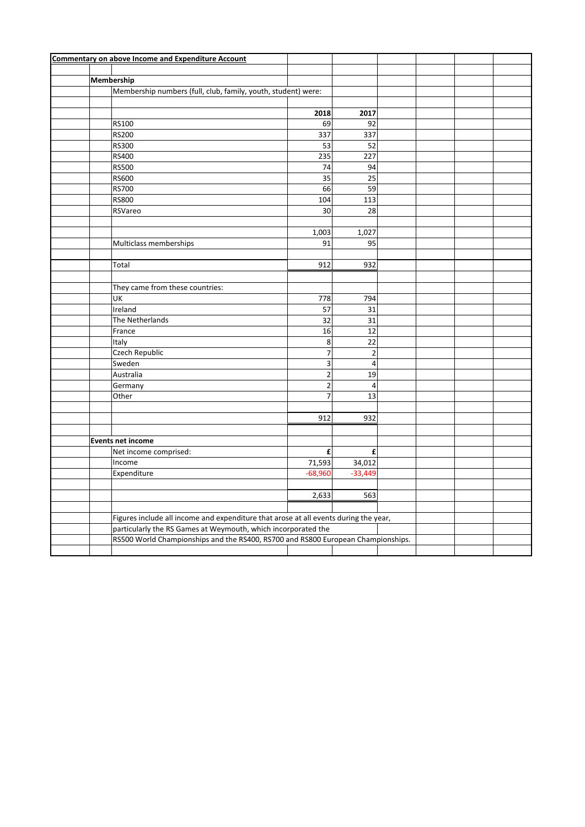| <b>Commentary on above Income and Expenditure Account</b>                        |                                                                                      |                 |  |  |  |
|----------------------------------------------------------------------------------|--------------------------------------------------------------------------------------|-----------------|--|--|--|
|                                                                                  |                                                                                      |                 |  |  |  |
| Membership                                                                       |                                                                                      |                 |  |  |  |
| Membership numbers (full, club, family, youth, student) were:                    |                                                                                      |                 |  |  |  |
|                                                                                  |                                                                                      |                 |  |  |  |
|                                                                                  | 2018                                                                                 | 2017            |  |  |  |
| RS100                                                                            | 69                                                                                   | 92              |  |  |  |
| <b>RS200</b>                                                                     | 337                                                                                  | 337             |  |  |  |
| <b>RS300</b>                                                                     | 53                                                                                   | 52              |  |  |  |
| RS400                                                                            | 235                                                                                  | 227             |  |  |  |
| <b>RS500</b>                                                                     | 74                                                                                   | 94              |  |  |  |
| <b>RS600</b>                                                                     | 35                                                                                   | 25              |  |  |  |
| <b>RS700</b>                                                                     | 66                                                                                   | 59              |  |  |  |
| <b>RS800</b>                                                                     | 104                                                                                  | 113             |  |  |  |
| RSVareo                                                                          | 30                                                                                   | 28              |  |  |  |
|                                                                                  |                                                                                      |                 |  |  |  |
|                                                                                  | 1,003                                                                                | 1,027           |  |  |  |
| Multiclass memberships                                                           | 91                                                                                   | 95              |  |  |  |
|                                                                                  |                                                                                      |                 |  |  |  |
| Total                                                                            | 912                                                                                  | 932             |  |  |  |
|                                                                                  |                                                                                      |                 |  |  |  |
| They came from these countries:                                                  |                                                                                      |                 |  |  |  |
| UK                                                                               | 778                                                                                  | 794             |  |  |  |
| Ireland                                                                          | 57                                                                                   | 31              |  |  |  |
| The Netherlands                                                                  | $\overline{32}$                                                                      | $\overline{31}$ |  |  |  |
| France                                                                           | 16                                                                                   | 12              |  |  |  |
| Italy                                                                            | 8                                                                                    | 22              |  |  |  |
| Czech Republic                                                                   | $\overline{7}$                                                                       | $\overline{2}$  |  |  |  |
| Sweden                                                                           | 3                                                                                    | $\overline{4}$  |  |  |  |
| Australia                                                                        | $\overline{2}$                                                                       | 19              |  |  |  |
| Germany                                                                          | $\mathbf 2$                                                                          | 4               |  |  |  |
| Other                                                                            | $\overline{7}$                                                                       | 13              |  |  |  |
|                                                                                  |                                                                                      |                 |  |  |  |
|                                                                                  | 912                                                                                  | 932             |  |  |  |
|                                                                                  |                                                                                      |                 |  |  |  |
| <b>Events net income</b>                                                         |                                                                                      |                 |  |  |  |
| Net income comprised:                                                            | £                                                                                    | £               |  |  |  |
| Income                                                                           | 71,593                                                                               | 34,012          |  |  |  |
| Expenditure                                                                      | $-68,960$                                                                            | $-33,449$       |  |  |  |
|                                                                                  |                                                                                      |                 |  |  |  |
|                                                                                  | 2,633                                                                                | 563             |  |  |  |
|                                                                                  |                                                                                      |                 |  |  |  |
|                                                                                  | Figures include all income and expenditure that arose at all events during the year, |                 |  |  |  |
|                                                                                  | particularly the RS Games at Weymouth, which incorporated the                        |                 |  |  |  |
| RS500 World Championships and the RS400, RS700 and RS800 European Championships. |                                                                                      |                 |  |  |  |
|                                                                                  |                                                                                      |                 |  |  |  |